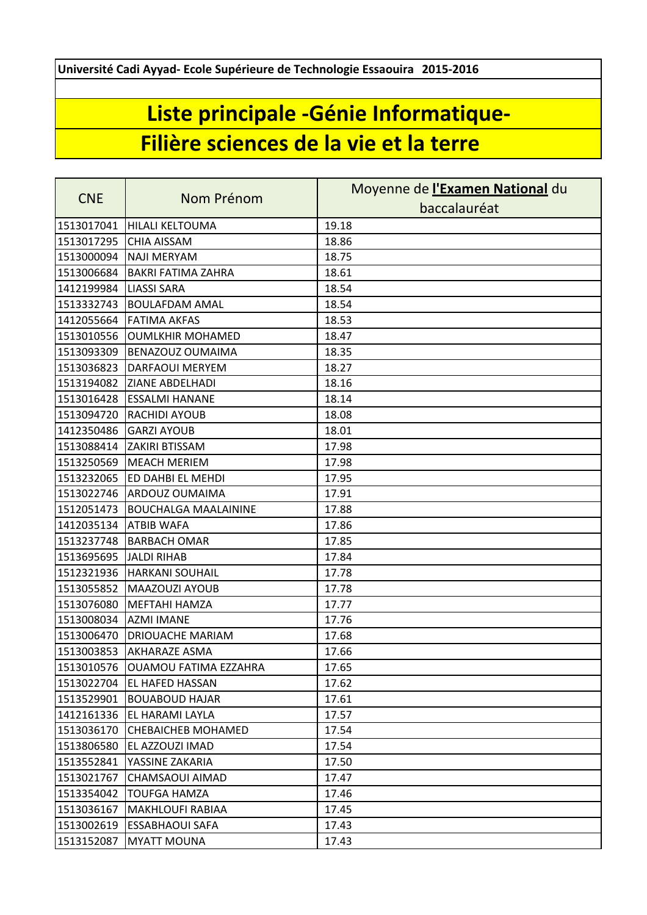**Université Cadi Ayyad- Ecole Supérieure de Technologie Essaouira 2015-2016**

## **Liste principale -Génie Informatique-Filière sciences de la vie et la terre**

| <b>CNE</b> | Nom Prénom                       | Moyenne de <i>l'Examen National</i> du |
|------------|----------------------------------|----------------------------------------|
|            |                                  | baccalauréat                           |
| 1513017041 | <b>HILALI KELTOUMA</b>           | 19.18                                  |
| 1513017295 | <b>CHIA AISSAM</b>               | 18.86                                  |
| 1513000094 | <b>NAJI MERYAM</b>               | 18.75                                  |
| 1513006684 | <b>BAKRI FATIMA ZAHRA</b>        | 18.61                                  |
| 1412199984 | <b>LIASSI SARA</b>               | 18.54                                  |
| 1513332743 | <b>BOULAFDAM AMAL</b>            | 18.54                                  |
| 1412055664 | <b>FATIMA AKFAS</b>              | 18.53                                  |
| 1513010556 | <b>OUMLKHIR MOHAMED</b>          | 18.47                                  |
| 1513093309 | <b>BENAZOUZ OUMAIMA</b>          | 18.35                                  |
| 1513036823 | <b>DARFAOUI MERYEM</b>           | 18.27                                  |
| 1513194082 | <b>ZIANE ABDELHADI</b>           | 18.16                                  |
| 1513016428 | <b>ESSALMI HANANE</b>            | 18.14                                  |
| 1513094720 | <b>RACHIDI AYOUB</b>             | 18.08                                  |
| 1412350486 | <b>GARZI AYOUB</b>               | 18.01                                  |
| 1513088414 | <b>ZAKIRI BTISSAM</b>            | 17.98                                  |
| 1513250569 | <b>MEACH MERIEM</b>              | 17.98                                  |
| 1513232065 | <b>ED DAHBI EL MEHDI</b>         | 17.95                                  |
| 1513022746 | <b>ARDOUZ OUMAIMA</b>            | 17.91                                  |
| 1512051473 | <b>BOUCHALGA MAALAININE</b>      | 17.88                                  |
| 1412035134 | <b>ATBIB WAFA</b>                | 17.86                                  |
| 1513237748 | <b>BARBACH OMAR</b>              | 17.85                                  |
| 1513695695 | <b>JALDI RIHAB</b>               | 17.84                                  |
| 1512321936 | <b>HARKANI SOUHAIL</b>           | 17.78                                  |
| 1513055852 | MAAZOUZI AYOUB                   | 17.78                                  |
| 1513076080 | <b>MEFTAHI HAMZA</b>             | 17.77                                  |
| 1513008034 | <b>AZMI IMANE</b>                | 17.76                                  |
| 1513006470 | <b>DRIOUACHE MARIAM</b>          | 17.68                                  |
| 1513003853 | <b>AKHARAZE ASMA</b>             | 17.66                                  |
|            | 1513010576 OUAMOU FATIMA EZZAHRA | 17.65                                  |
| 1513022704 | <b>IEL HAFED HASSAN</b>          | 17.62                                  |
| 1513529901 | <b>BOUABOUD HAJAR</b>            | 17.61                                  |
| 1412161336 | <b>EL HARAMI LAYLA</b>           | 17.57                                  |
| 1513036170 | <b>CHEBAICHEB MOHAMED</b>        | 17.54                                  |
| 1513806580 | EL AZZOUZI IMAD                  | 17.54                                  |
| 1513552841 | YASSINE ZAKARIA                  | 17.50                                  |
| 1513021767 | CHAMSAOUI AIMAD                  | 17.47                                  |
| 1513354042 | <b>TOUFGA HAMZA</b>              | 17.46                                  |
| 1513036167 | <b>MAKHLOUFI RABIAA</b>          | 17.45                                  |
| 1513002619 | <b>ESSABHAOUI SAFA</b>           | 17.43                                  |
| 1513152087 | <b>MYATT MOUNA</b>               | 17.43                                  |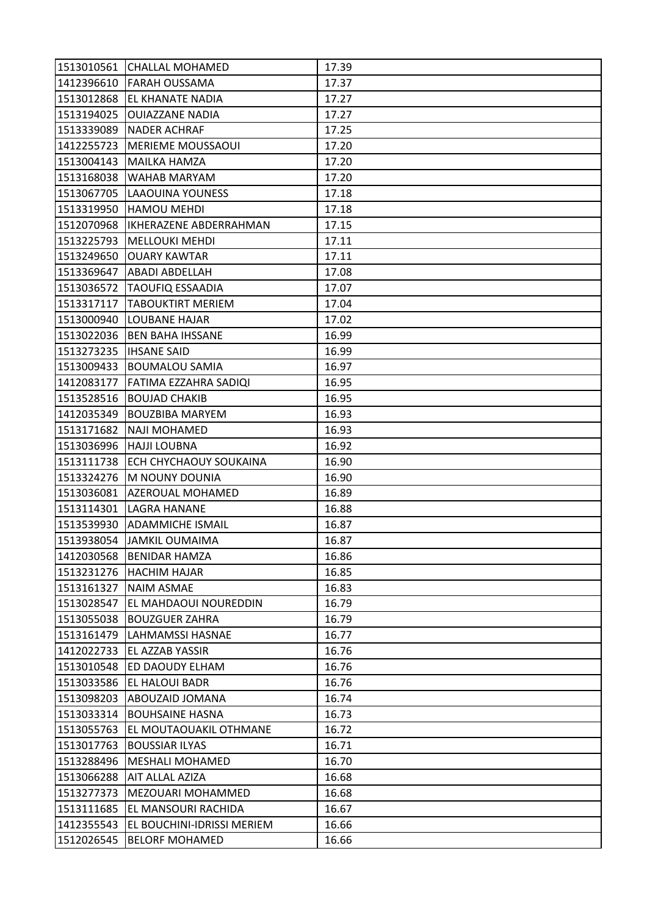|                          | 1513010561 CHALLAL MOHAMED        | 17.39 |
|--------------------------|-----------------------------------|-------|
| 1412396610               | <b>FARAH OUSSAMA</b>              | 17.37 |
| 1513012868               | <b>EL KHANATE NADIA</b>           | 17.27 |
| 1513194025               | <b>OUIAZZANE NADIA</b>            | 17.27 |
| 1513339089               | NADER ACHRAF                      | 17.25 |
|                          | 1412255723   MERIEME MOUSSAOUI    | 17.20 |
| 1513004143               | MAILKA HAMZA                      | 17.20 |
| 1513168038               | <b>WAHAB MARYAM</b>               | 17.20 |
|                          | 1513067705 LAAOUINA YOUNESS       | 17.18 |
| 1513319950               | <b>HAMOU MEHDI</b>                | 17.18 |
| 1512070968               | <b>IKHERAZENE ABDERRAHMAN</b>     | 17.15 |
| 1513225793               | <b>MELLOUKI MEHDI</b>             | 17.11 |
| 1513249650               | <b>OUARY KAWTAR</b>               | 17.11 |
| 1513369647               | <b>ABADI ABDELLAH</b>             | 17.08 |
| 1513036572               | <b>TAOUFIQ ESSAADIA</b>           | 17.07 |
| 1513317117               | <b>TABOUKTIRT MERIEM</b>          | 17.04 |
| 1513000940               | <b>LOUBANE HAJAR</b>              | 17.02 |
| 1513022036               | <b>BEN BAHA IHSSANE</b>           | 16.99 |
| 1513273235   IHSANE SAID |                                   | 16.99 |
|                          | 1513009433  BOUMALOU SAMIA        | 16.97 |
| 1412083177               | <b>FATIMA EZZAHRA SADIQI</b>      | 16.95 |
| 1513528516               | <b>BOUJAD CHAKIB</b>              | 16.95 |
| 1412035349               | <b>BOUZBIBA MARYEM</b>            | 16.93 |
| 1513171682               | <b>NAJI MOHAMED</b>               | 16.93 |
| 1513036996               | <b>HAJJI LOUBNA</b>               | 16.92 |
|                          | 1513111738 ECH CHYCHAOUY SOUKAINA | 16.90 |
| 1513324276               | <b>M NOUNY DOUNIA</b>             | 16.90 |
| 1513036081               | <b>AZEROUAL MOHAMED</b>           | 16.89 |
| 1513114301               | <b>LAGRA HANANE</b>               | 16.88 |
| 1513539930               | <b>ADAMMICHE ISMAIL</b>           | 16.87 |
| 1513938054               | JAMKIL OUMAIMA                    | 16.87 |
| 1412030568               | <b>BENIDAR HAMZA</b>              | 16.86 |
| 1513231276               | <b>HACHIM HAJAR</b>               | 16.85 |
| 1513161327               | <b>NAIM ASMAE</b>                 | 16.83 |
| 1513028547               | EL MAHDAOUI NOUREDDIN             | 16.79 |
| 1513055038               | <b>BOUZGUER ZAHRA</b>             | 16.79 |
| 1513161479               | <b>LAHMAMSSI HASNAE</b>           | 16.77 |
| 1412022733               | EL AZZAB YASSIR                   | 16.76 |
| 1513010548               | <b>ED DAOUDY ELHAM</b>            | 16.76 |
| 1513033586               | <b>EL HALOUI BADR</b>             | 16.76 |
| 1513098203               | ABOUZAID JOMANA                   | 16.74 |
| 1513033314               | <b>BOUHSAINE HASNA</b>            | 16.73 |
| 1513055763               | IEL MOUTAOUAKIL OTHMANE           | 16.72 |
| 1513017763               | <b>BOUSSIAR ILYAS</b>             | 16.71 |
| 1513288496               | MESHALI MOHAMED                   | 16.70 |
| 1513066288               | AIT ALLAL AZIZA                   | 16.68 |
| 1513277373               | MEZOUARI MOHAMMED                 | 16.68 |
| 1513111685               | EL MANSOURI RACHIDA               | 16.67 |
| 1412355543               | EL BOUCHINI-IDRISSI MERIEM        | 16.66 |
| 1512026545               | <b>BELORF MOHAMED</b>             | 16.66 |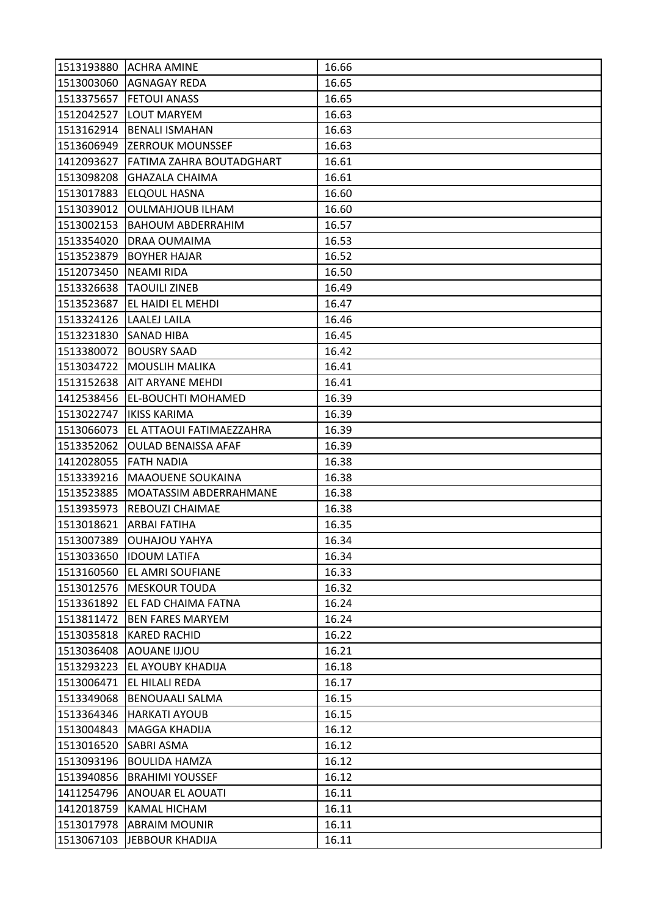|            | 1513193880 ACHRA AMINE          | 16.66 |
|------------|---------------------------------|-------|
| 1513003060 | <b>AGNAGAY REDA</b>             | 16.65 |
| 1513375657 | <b>FETOUI ANASS</b>             | 16.65 |
| 1512042527 | <b>LOUT MARYEM</b>              | 16.63 |
| 1513162914 | <b>BENALI ISMAHAN</b>           | 16.63 |
|            | 1513606949 ZERROUK MOUNSSEF     | 16.63 |
| 1412093627 | <b>FATIMA ZAHRA BOUTADGHART</b> | 16.61 |
| 1513098208 | <b>GHAZALA CHAIMA</b>           | 16.61 |
| 1513017883 | <b>ELQOUL HASNA</b>             | 16.60 |
| 1513039012 | <b>OULMAHJOUB ILHAM</b>         | 16.60 |
| 1513002153 | <b>BAHOUM ABDERRAHIM</b>        | 16.57 |
| 1513354020 | <b>DRAA OUMAIMA</b>             | 16.53 |
| 1513523879 | <b>BOYHER HAJAR</b>             | 16.52 |
| 1512073450 | NEAMI RIDA                      | 16.50 |
| 1513326638 | <b>TAOUILI ZINEB</b>            | 16.49 |
| 1513523687 | <b>EL HAIDI EL MEHDI</b>        | 16.47 |
| 1513324126 | LAALEJ LAILA                    | 16.46 |
| 1513231830 | <b>SANAD HIBA</b>               | 16.45 |
|            | 1513380072 BOUSRY SAAD          | 16.42 |
|            | 1513034722   MOUSLIH MALIKA     | 16.41 |
|            | 1513152638 AIT ARYANE MEHDI     | 16.41 |
| 1412538456 | <b>EL-BOUCHTI MOHAMED</b>       | 16.39 |
| 1513022747 | <b>IKISS KARIMA</b>             | 16.39 |
| 1513066073 | <b>EL ATTAOUI FATIMAEZZAHRA</b> | 16.39 |
| 1513352062 | <b>OULAD BENAISSA AFAF</b>      | 16.39 |
| 1412028055 | <b>FATH NADIA</b>               | 16.38 |
| 1513339216 | <b>MAAOUENE SOUKAINA</b>        | 16.38 |
| 1513523885 | MOATASSIM ABDERRAHMANE          | 16.38 |
| 1513935973 | REBOUZI CHAIMAE                 | 16.38 |
| 1513018621 | <b>ARBAI FATIHA</b>             | 16.35 |
|            |                                 |       |
| 1513007389 | <b>OUHAJOU YAHYA</b>            | 16.34 |
|            | 1513033650  IDOUM LATIFA        | 16.34 |
| 1513160560 | <b>EL AMRI SOUFIANE</b>         | 16.33 |
| 1513012576 | <b>MESKOUR TOUDA</b>            | 16.32 |
| 1513361892 | EL FAD CHAIMA FATNA             | 16.24 |
| 1513811472 | <b>BEN FARES MARYEM</b>         | 16.24 |
| 1513035818 | <b>KARED RACHID</b>             | 16.22 |
| 1513036408 | <b>AOUANE IJJOU</b>             | 16.21 |
| 1513293223 | <b>EL AYOUBY KHADIJA</b>        | 16.18 |
| 1513006471 | <b>EL HILALI REDA</b>           | 16.17 |
| 1513349068 | <b>BENOUAALI SALMA</b>          | 16.15 |
| 1513364346 | <b>HARKATI AYOUB</b>            | 16.15 |
| 1513004843 | <b>MAGGA KHADIJA</b>            | 16.12 |
| 1513016520 | <b>SABRI ASMA</b>               | 16.12 |
| 1513093196 | <b>BOULIDA HAMZA</b>            | 16.12 |
| 1513940856 | <b>BRAHIMI YOUSSEF</b>          | 16.12 |
| 1411254796 | <b>ANOUAR EL AOUATI</b>         | 16.11 |
| 1412018759 | KAMAL HICHAM                    | 16.11 |
| 1513017978 | <b>ABRAIM MOUNIR</b>            | 16.11 |